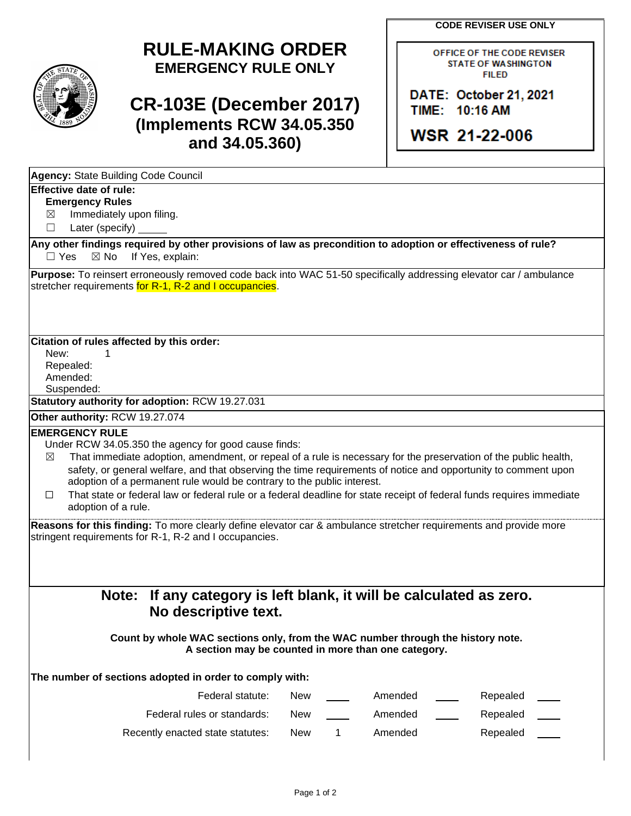**CODE REVISER USE ONLY**



## **RULE-MAKING ORDER EMERGENCY RULE ONLY**

## **CR-103E (December 2017) (Implements RCW 34.05.350 and 34.05.360)**

OFFICE OF THE CODE REVISER **STATE OF WASHINGTON FILED** 

DATE: October 21, 2021 TIME: 10:16 AM

**WSR 21-22-006** 

| Agency: State Building Code Council                                                                                                                                          |            |   |         |          |
|------------------------------------------------------------------------------------------------------------------------------------------------------------------------------|------------|---|---------|----------|
| Effective date of rule:                                                                                                                                                      |            |   |         |          |
| <b>Emergency Rules</b>                                                                                                                                                       |            |   |         |          |
| Immediately upon filing.<br>$\boxtimes$                                                                                                                                      |            |   |         |          |
| Later (specify)<br>ш                                                                                                                                                         |            |   |         |          |
| Any other findings required by other provisions of law as precondition to adoption or effectiveness of rule?<br>$\Box$ Yes<br>$\boxtimes$ No<br>If Yes, explain:             |            |   |         |          |
| Purpose: To reinsert erroneously removed code back into WAC 51-50 specifically addressing elevator car / ambulance<br>stretcher requirements for R-1, R-2 and I occupancies. |            |   |         |          |
| Citation of rules affected by this order:                                                                                                                                    |            |   |         |          |
| New:<br>1                                                                                                                                                                    |            |   |         |          |
| Repealed:                                                                                                                                                                    |            |   |         |          |
| Amended:                                                                                                                                                                     |            |   |         |          |
| Suspended:<br>Statutory authority for adoption: RCW 19.27.031                                                                                                                |            |   |         |          |
| Other authority: RCW 19.27.074                                                                                                                                               |            |   |         |          |
| <b>EMERGENCY RULE</b>                                                                                                                                                        |            |   |         |          |
| Under RCW 34.05.350 the agency for good cause finds:                                                                                                                         |            |   |         |          |
| That immediate adoption, amendment, or repeal of a rule is necessary for the preservation of the public health,<br>$\boxtimes$                                               |            |   |         |          |
| safety, or general welfare, and that observing the time requirements of notice and opportunity to comment upon                                                               |            |   |         |          |
| adoption of a permanent rule would be contrary to the public interest.                                                                                                       |            |   |         |          |
| That state or federal law or federal rule or a federal deadline for state receipt of federal funds requires immediate<br>□                                                   |            |   |         |          |
| adoption of a rule.                                                                                                                                                          |            |   |         |          |
| Reasons for this finding: To more clearly define elevator car & ambulance stretcher requirements and provide more<br>stringent requirements for R-1, R-2 and I occupancies.  |            |   |         |          |
| If any category is left blank, it will be calculated as zero.<br>Note:<br>No descriptive text.                                                                               |            |   |         |          |
| Count by whole WAC sections only, from the WAC number through the history note.<br>A section may be counted in more than one category.                                       |            |   |         |          |
| The number of sections adopted in order to comply with:                                                                                                                      |            |   |         |          |
| Federal statute:                                                                                                                                                             | <b>New</b> |   | Amended | Repealed |
| Federal rules or standards:                                                                                                                                                  | <b>New</b> |   | Amended | Repealed |
| Recently enacted state statutes:                                                                                                                                             | <b>New</b> | 1 | Amended | Repealed |
|                                                                                                                                                                              |            |   |         |          |
|                                                                                                                                                                              |            |   |         |          |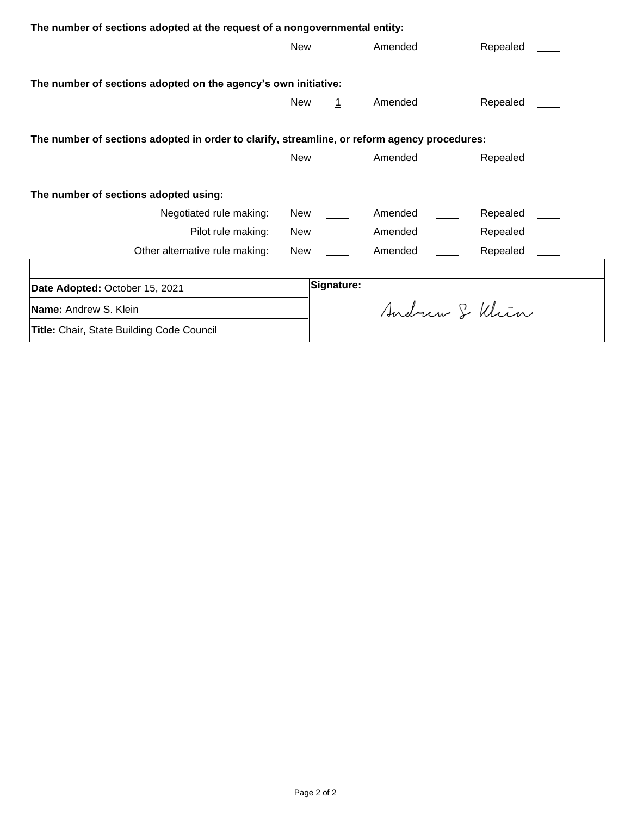| The number of sections adopted at the request of a nongovernmental entity:                   |            |            |         |  |               |  |  |  |  |
|----------------------------------------------------------------------------------------------|------------|------------|---------|--|---------------|--|--|--|--|
|                                                                                              | <b>New</b> |            | Amended |  | Repealed      |  |  |  |  |
|                                                                                              |            |            |         |  |               |  |  |  |  |
| The number of sections adopted on the agency's own initiative:                               |            |            |         |  |               |  |  |  |  |
|                                                                                              | <b>New</b> | $\perp$    | Amended |  | Repealed      |  |  |  |  |
|                                                                                              |            |            |         |  |               |  |  |  |  |
| The number of sections adopted in order to clarify, streamline, or reform agency procedures: |            |            |         |  |               |  |  |  |  |
|                                                                                              | New        |            | Amended |  | Repealed      |  |  |  |  |
|                                                                                              |            |            |         |  |               |  |  |  |  |
| The number of sections adopted using:                                                        |            |            |         |  |               |  |  |  |  |
| Negotiated rule making:                                                                      |            | New $\_\_$ | Amended |  | Repealed      |  |  |  |  |
| Pilot rule making:                                                                           | New        |            | Amended |  | Repealed      |  |  |  |  |
| Other alternative rule making:                                                               | New        |            | Amended |  | Repealed      |  |  |  |  |
|                                                                                              |            |            |         |  |               |  |  |  |  |
| Date Adopted: October 15, 2021                                                               |            | Signature: |         |  |               |  |  |  |  |
| <b>Name:</b> Andrew S. Klein                                                                 |            |            |         |  | Andrew & Klin |  |  |  |  |
| <b>Title:</b> Chair, State Building Code Council                                             |            |            |         |  |               |  |  |  |  |